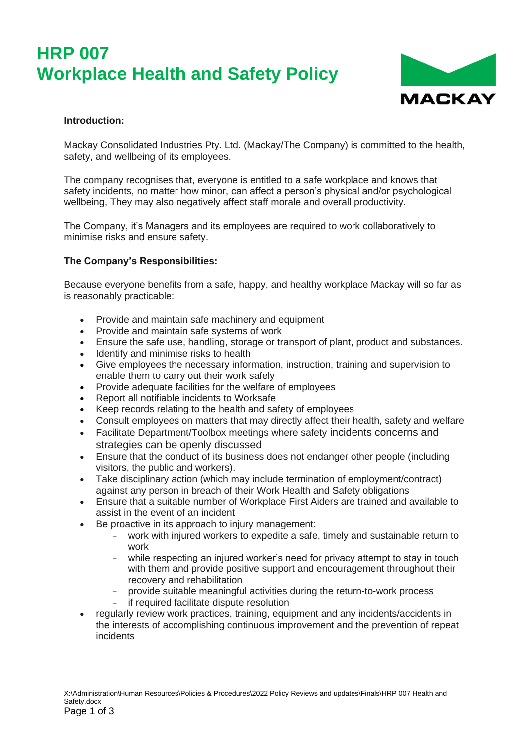# **HRP 007 Workplace Health and Safety Policy**



#### **Introduction:**

Mackay Consolidated Industries Pty. Ltd. (Mackay/The Company) is committed to the health, safety, and wellbeing of its employees.

The company recognises that, everyone is entitled to a safe workplace and knows that safety incidents, no matter how minor, can affect a person's physical and/or psychological wellbeing, They may also negatively affect staff morale and overall productivity.

The Company, it's Managers and its employees are required to work collaboratively to minimise risks and ensure safety.

#### **The Company's Responsibilities:**

Because everyone benefits from a safe, happy, and healthy workplace Mackay will so far as is reasonably practicable:

- Provide and maintain safe machinery and equipment
- Provide and maintain safe systems of work
- Ensure the safe use, handling, storage or transport of plant, product and substances.<br>• Identify and minimise risks to health
- Identify and minimise risks to health
- Give employees the necessary information, instruction, training and supervision to enable them to carry out their work safely
- Provide adequate facilities for the welfare of employees
- Report all notifiable incidents to Worksafe
- Keep records relating to the health and safety of employees
- Consult employees on matters that may directly affect their health, safety and welfare
- Facilitate Department/Toolbox meetings where safety incidents concerns and strategies can be openly discussed
- Ensure that the conduct of its business does not endanger other people (including visitors, the public and workers).
- Take disciplinary action (which may include termination of employment/contract) against any person in breach of their Work Health and Safety obligations
- Ensure that a suitable number of Workplace First Aiders are trained and available to assist in the event of an incident
- Be proactive in its approach to injury management:
	- work with injured workers to expedite a safe, timely and sustainable return to work
	- while respecting an injured worker's need for privacy attempt to stay in touch with them and provide positive support and encouragement throughout their recovery and rehabilitation
	- provide suitable meaningful activities during the return-to-work process
	- if required facilitate dispute resolution
- regularly review work practices, training, equipment and any incidents/accidents in the interests of accomplishing continuous improvement and the prevention of repeat incidents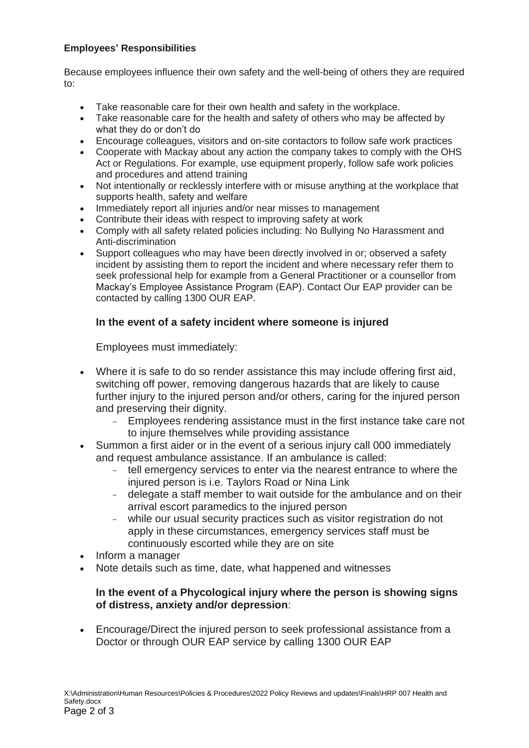## **Employees' Responsibilities**

Because employees influence their own safety and the well-being of others they are required to:

- Take reasonable care for their own health and safety in the workplace.
- Take reasonable care for the health and safety of others who may be affected by what they do or don't do
- Encourage colleagues, visitors and on-site contactors to follow safe work practices
- Cooperate with Mackay about any action the company takes to comply with the OHS Act or Regulations. For example, use equipment properly, follow safe work policies and procedures and attend training
- Not intentionally or recklessly interfere with or misuse anything at the workplace that supports health, safety and welfare
- Immediately report all injuries and/or near misses to management
- Contribute their ideas with respect to improving safety at work
- Comply with all safety related policies including: No Bullying No Harassment and Anti-discrimination
- Support colleagues who may have been directly involved in or; observed a safety incident by assisting them to report the incident and where necessary refer them to seek professional help for example from a General Practitioner or a counsellor from Mackay's Employee Assistance Program (EAP). Contact Our EAP provider can be contacted by calling 1300 OUR EAP.

## **In the event of a safety incident where someone is injured**

Employees must immediately:

- Where it is safe to do so render assistance this may include offering first aid, switching off power, removing dangerous hazards that are likely to cause further injury to the injured person and/or others, caring for the injured person and preserving their dignity.
	- Employees rendering assistance must in the first instance take care not to injure themselves while providing assistance
- Summon a first aider or in the event of a serious injury call 000 immediately and request ambulance assistance. If an ambulance is called:
	- tell emergency services to enter via the nearest entrance to where the injured person is i.e. Taylors Road or Nina Link
	- delegate a staff member to wait outside for the ambulance and on their arrival escort paramedics to the injured person
	- while our usual security practices such as visitor registration do not apply in these circumstances, emergency services staff must be continuously escorted while they are on site
- Inform a manager
- Note details such as time, date, what happened and witnesses

## **In the event of a Phycological injury where the person is showing signs of distress, anxiety and/or depression**:

• Encourage/Direct the injured person to seek professional assistance from a Doctor or through OUR EAP service by calling 1300 OUR EAP